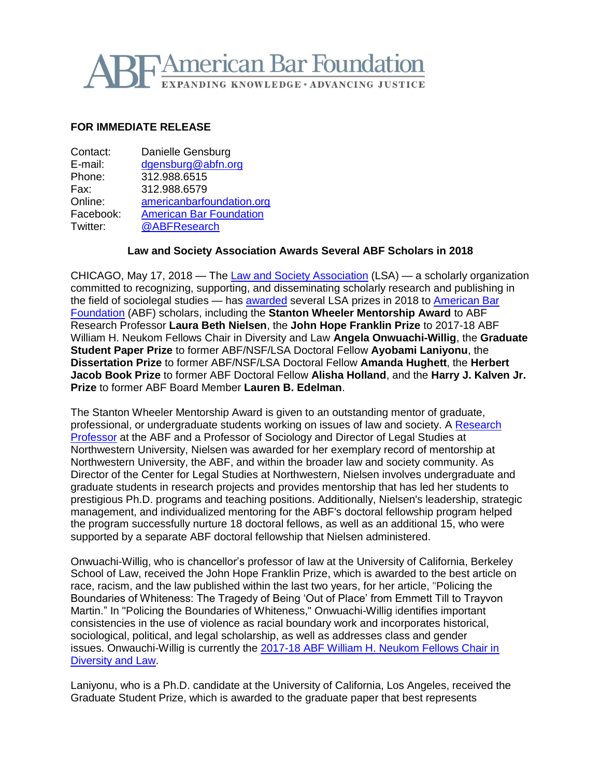# **TAmerican Bar Foundation EXPANDING KNOWLEDGE · ADVANCING JUSTICE**

### **FOR IMMEDIATE RELEASE**

| Contact:  | Danielle Gensburg              |
|-----------|--------------------------------|
| E-mail:   | dgensburg@abfn.org             |
| Phone:    | 312.988.6515                   |
| Fax:      | 312.988.6579                   |
| Online:   | americanbarfoundation.org      |
| Facebook: | <b>American Bar Foundation</b> |
| Twitter:  | @ABFResearch                   |

### **Law and Society Association Awards Several ABF Scholars in 2018**

CHICAGO, May 17, 2018 — The [Law and Society Association](http://www.lawandsociety.org/) (LSA) — a scholarly organization committed to recognizing, supporting, and disseminating scholarly research and publishing in the field of sociolegal studies - has **awarded** several LSA prizes in 2018 to **American Bar** [Foundation](http://www.americanbarfoundation.org/index.html) (ABF) scholars, including the **Stanton Wheeler Mentorship Award** to ABF Research Professor **Laura Beth Nielsen**, the **John Hope Franklin Prize** to 2017-18 ABF William H. Neukom Fellows Chair in Diversity and Law **Angela Onwuachi-Willig**, the **Graduate Student Paper Prize** to former ABF/NSF/LSA Doctoral Fellow **Ayobami Laniyonu**, the **Dissertation Prize** to former ABF/NSF/LSA Doctoral Fellow **Amanda Hughett**, the **Herbert Jacob Book Prize** to former ABF Doctoral Fellow **Alisha Holland**, and the **Harry J. Kalven Jr. Prize** to former ABF Board Member **Lauren B. Edelman**.

The Stanton Wheeler Mentorship Award is given to an outstanding mentor of graduate, professional, or undergraduate students working on issues of law and society. A [Research](http://www.americanbarfoundation.org/faculty/profile/20)  [Professor](http://www.americanbarfoundation.org/faculty/profile/20) at the ABF and a Professor of Sociology and Director of Legal Studies at Northwestern University, Nielsen was awarded for her exemplary record of mentorship at Northwestern University, the ABF, and within the broader law and society community. As Director of the Center for Legal Studies at Northwestern, Nielsen involves undergraduate and graduate students in research projects and provides mentorship that has led her students to prestigious Ph.D. programs and teaching positions. Additionally, Nielsen's leadership, strategic management, and individualized mentoring for the ABF's doctoral fellowship program helped the program successfully nurture 18 doctoral fellows, as well as an additional 15, who were supported by a separate ABF doctoral fellowship that Nielsen administered.

Onwuachi-Willig, who is chancellor's professor of law at the University of California, Berkeley School of Law, received the John Hope Franklin Prize, which is awarded to the best article on race, racism, and the law published within the last two years, for her article, "Policing the Boundaries of Whiteness: The Tragedy of Being 'Out of Place' from Emmett Till to Trayvon Martin." In "Policing the Boundaries of Whiteness," Onwuachi-Willig identifies important consistencies in the use of violence as racial boundary work and incorporates historical, sociological, political, and legal scholarship, as well as addresses class and gender issues. Onwauchi-Willig is currently the [2017-18 ABF William H. Neukom Fellows Chair in](http://www.americanbarfoundation.org/faculty/profile/51)  [Diversity and Law.](http://www.americanbarfoundation.org/faculty/profile/51)

Laniyonu, who is a Ph.D. candidate at the University of California, Los Angeles, received the Graduate Student Prize, which is awarded to the graduate paper that best represents